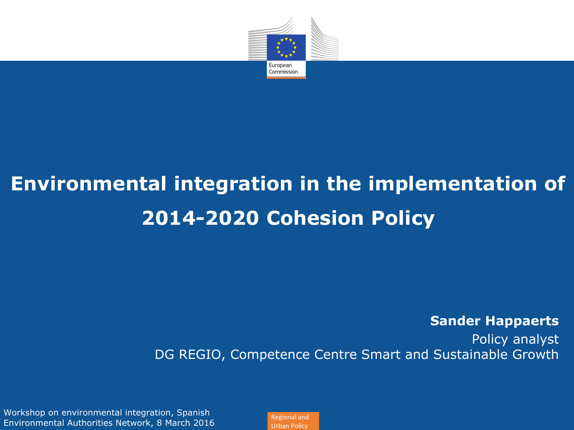

## **Environmental integration in the implementation of 2014-2020 Cohesion Policy**

**Sander Happaerts**

Policy analyst DG REGIO, Competence Centre Smart and Sustainable Growth

Workshop on environmental integration, Spanish Environmental Authorities Network, 8 March 2016

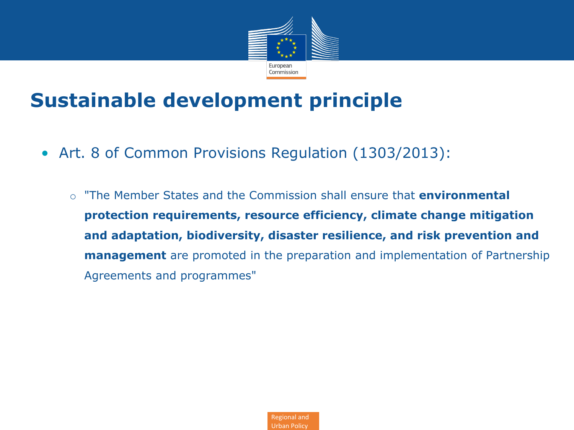

### **Sustainable development principle**

- Art. 8 of Common Provisions Regulation (1303/2013):
	- o "The Member States and the Commission shall ensure that **environmental protection requirements, resource efficiency, climate change mitigation and adaptation, biodiversity, disaster resilience, and risk prevention and management** are promoted in the preparation and implementation of Partnership Agreements and programmes"

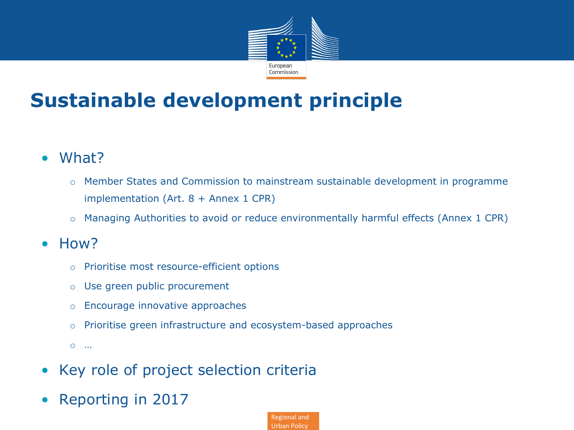

## **Sustainable development principle**

- What?
	- o Member States and Commission to mainstream sustainable development in programme implementation (Art. 8 + Annex 1 CPR)
	- o Managing Authorities to avoid or reduce environmentally harmful effects (Annex 1 CPR)
- How?
	- o Prioritise most resource-efficient options
	- o Use green public procurement
	- o Encourage innovative approaches
	- o Prioritise green infrastructure and ecosystem-based approaches
	- o …
- Key role of project selection criteria
- Reporting in 2017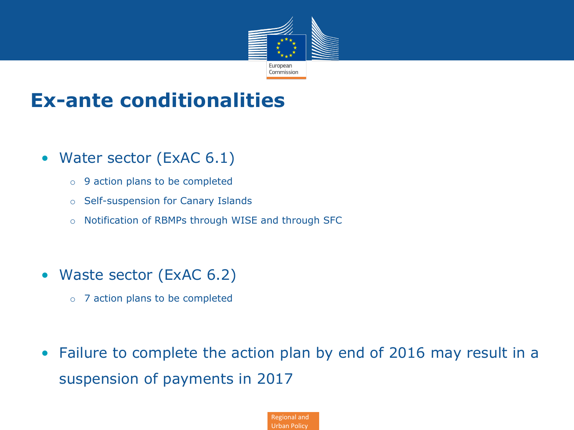

#### **Ex-ante conditionalities**

- Water sector (ExAC 6.1)
	- o 9 action plans to be completed
	- o Self-suspension for Canary Islands
	- o Notification of RBMPs through WISE and through SFC
- Waste sector (ExAC 6.2)
	- o 7 action plans to be completed
- Failure to complete the action plan by end of 2016 may result in a suspension of payments in 2017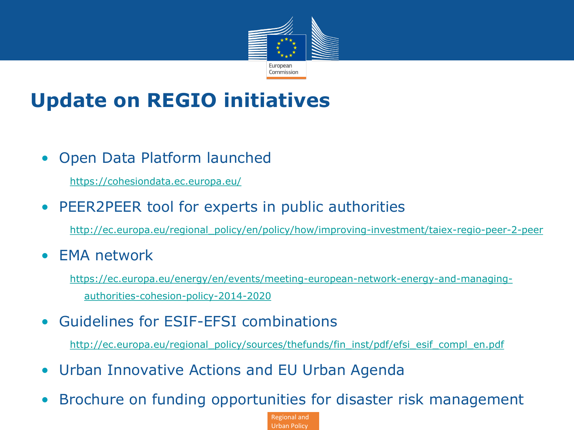

## **Update on REGIO initiatives**

• Open Data Platform launched

<https://cohesiondata.ec.europa.eu/>

• PEER2PEER tool for experts in public authorities

[http://ec.europa.eu/regional\\_policy/en/policy/how/improving-investment/taiex-regio-peer-2-peer](http://ec.europa.eu/regional_policy/en/policy/how/improving-investment/taiex-regio-peer-2-peer)

• EMA network

[https://ec.europa.eu/energy/en/events/meeting-european-network-energy-and-managing](https://ec.europa.eu/energy/en/events/meeting-european-network-energy-and-managing-authorities-cohesion-policy-2014-2020)[authorities-cohesion-policy-2014-2020](https://ec.europa.eu/energy/en/events/meeting-european-network-energy-and-managing-authorities-cohesion-policy-2014-2020)

• Guidelines for ESIF-EFSI combinations

[http://ec.europa.eu/regional\\_policy/sources/thefunds/fin\\_inst/pdf/efsi\\_esif\\_compl\\_en.pdf](http://ec.europa.eu/regional_policy/sources/thefunds/fin_inst/pdf/efsi_esif_compl_en.pdf)

- Urban Innovative Actions and EU Urban Agenda
- Brochure on funding opportunities for disaster risk management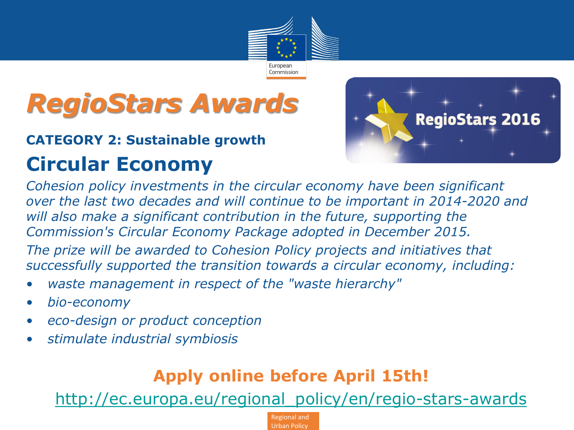

# *RegioStars Awards*

## **CATEGORY 2: Sustainable growth**

## **Circular Economy**



*Cohesion policy investments in the circular economy have been significant over the last two decades and will continue to be important in 2014-2020 and will also make a significant contribution in the future, supporting the Commission's Circular Economy Package adopted in December 2015. The prize will be awarded to Cohesion Policy projects and initiatives that* 

*successfully supported the transition towards a circular economy, including:*

- *waste management in respect of the "waste hierarchy"*
- *bio-economy*
- *eco-design or product conception*
- *stimulate industrial symbiosis*

#### • **Apply online before April 15th!**

• [http://ec.europa.eu/regional\\_policy/en/regio-stars-awards](http://ec.europa.eu/regional_policy/en/regio-stars-awards)